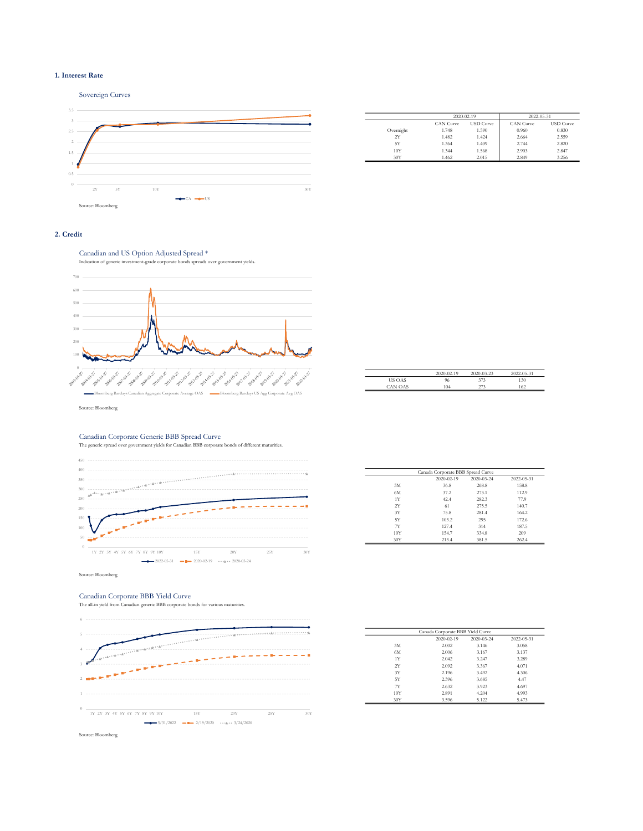## 1. Interest Rate



|           | 2020-02-19       |                  | 2022-05-31       |                  |
|-----------|------------------|------------------|------------------|------------------|
|           | <b>CAN Curve</b> | <b>USD</b> Curve | <b>CAN Curve</b> | <b>USD</b> Curve |
| Overnight | 1.748            | 1.590            | 0.960            | 0.830            |
| 2Y        | 1.482            | 1.424            | 2.664            | 2.559            |
| 5Y        | 1.364            | 1.409            | 2.744            | 2.820            |
| 10Y       | 1.344            | 1.568            | 2.903            | 2.847            |
| 30Y       | 1.462            | 2.015            | 2.849            | 3.256            |

## 2. Credit

Canadian and US Option Adjusted Spread \*



|                | $2020 - 02 - 19$ | 2020-03-23 | 2022-05-31 |
|----------------|------------------|------------|------------|
| <b>US OAS</b>  | 96               | 373        | 130        |
| <b>CAN OAS</b> | 104              | 273        | 162        |

Source: Bloomberg

# Canadian Corporate Generic BBB Spread Curve

The generic spread over government yields for Canadian BBB corporate bonds of different maturities.



|     | Canada Corporate BBB Spread Curve |            |            |  |  |
|-----|-----------------------------------|------------|------------|--|--|
|     | $2020 - 02 - 19$                  | 2020-03-24 | 2022-05-31 |  |  |
| 3M  | 36.8                              | 268.8      | 158.8      |  |  |
| 6M  | 37.2                              | 273.1      | 112.9      |  |  |
| 1Y  | 42.4                              | 282.3      | 77.9       |  |  |
| 2Y  | 61                                | 275.5      | 140.7      |  |  |
| 3Y  | 75.8                              | 281.4      | 164.2      |  |  |
| 5Y  | 103.2                             | 295        | 172.6      |  |  |
| 7Y  | 127.4                             | 314        | 187.5      |  |  |
| 10Y | 154.7                             | 334.8      | 209        |  |  |
| 30Y | 213.4                             | 381.5      | 262.4      |  |  |

Canadian Corporate BBB Yield Curve The all-in yield from Canadian generic BBB corporate bonds for various maturities.



| Canada Corporate BBB Yield Curve |                  |            |            |  |
|----------------------------------|------------------|------------|------------|--|
|                                  | $2020 - 02 - 19$ | 2020-03-24 | 2022-05-31 |  |
| 3M                               | 2.002            | 3.146      | 3.058      |  |
| 6M                               | 2.006            | 3.167      | 3.137      |  |
| 1Y                               | 2.042            | 3.247      | 3.289      |  |
| 2Y                               | 2.092            | 3.367      | 4.071      |  |
| 3Y                               | 2.196            | 3.492      | 4.306      |  |
| 5Y                               | 2.396            | 3.685      | 4.47       |  |
| 7Y                               | 2.632            | 3.923      | 4.697      |  |
| 10Y                              | 2.891            | 4.204      | 4.993      |  |
| 30Y                              | 3.596            | 5.122      | 5.473      |  |

Source: Bloomberg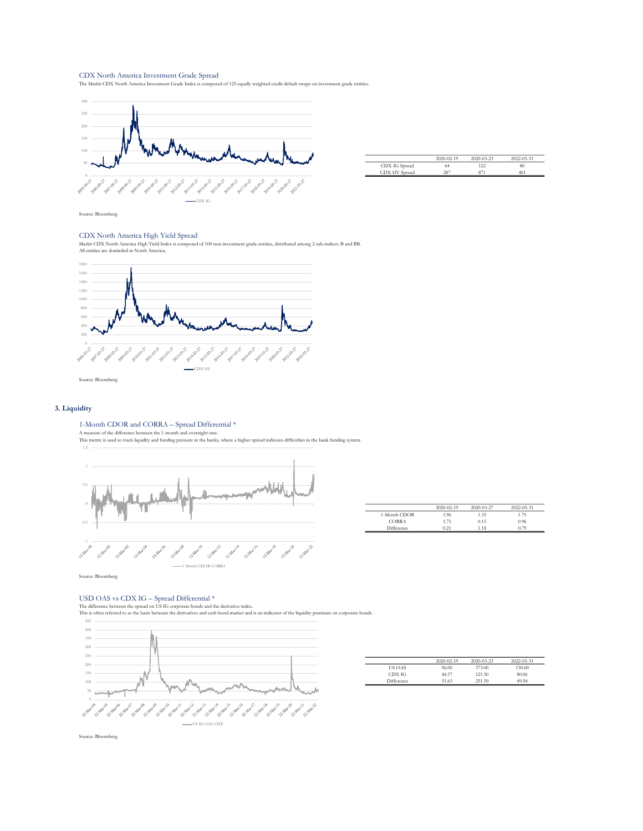## CDX North America Investment Grade Spread

The Markit CDX North America Investment Grade Index is composed of 125 equally weighted credit default swaps on investment grade entities.



|               | 2020-02-19 | 2020-03-23 | 2022-05-31 |
|---------------|------------|------------|------------|
| CDX IG Spread | 44         | 122        | 80         |
| CDX HY Spread | 287        |            | 461        |

Source: Bloomberg

## CDX North America High Yield Spread

Markit CDX North America High Yield Index is composed of 100 non-investment grade entities, distributed among 2 sub-indices: B and BB. All entities are domiciled in North America.



Source: Bloomberg

## 3. Liquidity

1-Month CDOR and CORRA – Spread Differential \*<br>A measure of the difference between the 1-month and overnight-rate.<br>This metric is used to track liquidity and funding pressure in the banks, where a higher spread indicates d



|              | $2020 - 02 - 19$ | 2020-03-27 | 2022-05-31 |
|--------------|------------------|------------|------------|
| 1-Month CDOR | 1.96             | 1.33       | 1.75       |
| <b>CORRA</b> | 1.75             | 0.15       | 0.96       |
| Difference   | 0.21             | 1.18       | 0.79       |

Source: Bloomberg

USD OAS vs CDX IG — Spread Differential \*<br>The difference betwen the spread on US IG corporate bonds and the derivative index.<br>This is often referred to as the basis between the derivatives and cash bond market and is an in



|               | $2020 - 02 - 19$ | $2020 - 03 - 23$ | 2022-05-31 |
|---------------|------------------|------------------|------------|
| <b>US OAS</b> | 96.00            | 373.00           | 130.00     |
| CDX IG        | 44.37            | 121.50           | 80.06      |
| Difference    | 51.63            | 251.50           | 49.94      |

Source: Bloomberg